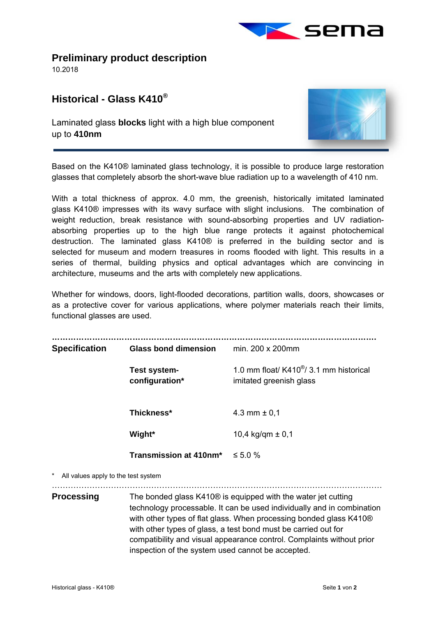

**Preliminary product description** 

10.2018

## **Historical - Glass K410®**

Laminated glass **blocks** light with a high blue component up to **410nm** 



Based on the K410® laminated glass technology, it is possible to produce large restoration glasses that completely absorb the short-wave blue radiation up to a wavelength of 410 nm.

With a total thickness of approx. 4.0 mm, the greenish, historically imitated laminated glass K410® impresses with its wavy surface with slight inclusions. The combination of weight reduction, break resistance with sound-absorbing properties and UV radiationabsorbing properties up to the high blue range protects it against photochemical destruction. The laminated glass K410® is preferred in the building sector and is selected for museum and modern treasures in rooms flooded with light. This results in a series of thermal, building physics and optical advantages which are convincing in architecture, museums and the arts with completely new applications.

Whether for windows, doors, light-flooded decorations, partition walls, doors, showcases or as a protective cover for various applications, where polymer materials reach their limits, functional glasses are used.

| <b>Specification</b>                | <b>Glass bond dimension</b>                                                                                                                                                                                                                                                                                                                                                      | min. 200 x 200mm                                                                |
|-------------------------------------|----------------------------------------------------------------------------------------------------------------------------------------------------------------------------------------------------------------------------------------------------------------------------------------------------------------------------------------------------------------------------------|---------------------------------------------------------------------------------|
|                                     | Test system-<br>configuration*                                                                                                                                                                                                                                                                                                                                                   | 1.0 mm float/ $K410^{\circledast}/3.1$ mm historical<br>imitated greenish glass |
|                                     | Thickness*                                                                                                                                                                                                                                                                                                                                                                       | 4.3 mm $\pm$ 0,1                                                                |
|                                     | Wight*                                                                                                                                                                                                                                                                                                                                                                           | 10,4 kg/qm $\pm$ 0,1                                                            |
|                                     | Transmission at 410nm*                                                                                                                                                                                                                                                                                                                                                           | $\leq 5.0 \%$                                                                   |
| All values apply to the test system |                                                                                                                                                                                                                                                                                                                                                                                  |                                                                                 |
| <b>Processing</b>                   | The bonded glass K410 <sup>®</sup> is equipped with the water jet cutting<br>technology processable. It can be used individually and in combination<br>with other types of flat glass. When processing bonded glass K410 <sup>®</sup><br>with other types of glass, a test bond must be carried out for<br>compatibility and visual appearance control. Complaints without prior |                                                                                 |

inspection of the system used cannot be accepted.